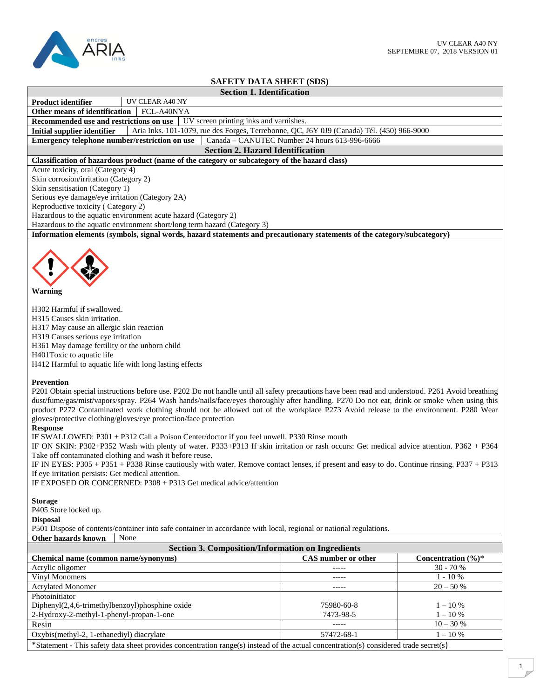

## **SAFETY DATA SHEET (SDS)**

| SAFEI Y DATA SHEEI (SDS)                                                                                                                                                                                                                                                                                                                                                                                                                                                                                                                                                                                                                                                                                                                                                                                                                                                                                                                                                                                                                                                                                                          |                                               |                                 |  |  |  |
|-----------------------------------------------------------------------------------------------------------------------------------------------------------------------------------------------------------------------------------------------------------------------------------------------------------------------------------------------------------------------------------------------------------------------------------------------------------------------------------------------------------------------------------------------------------------------------------------------------------------------------------------------------------------------------------------------------------------------------------------------------------------------------------------------------------------------------------------------------------------------------------------------------------------------------------------------------------------------------------------------------------------------------------------------------------------------------------------------------------------------------------|-----------------------------------------------|---------------------------------|--|--|--|
| <b>Section 1. Identification</b>                                                                                                                                                                                                                                                                                                                                                                                                                                                                                                                                                                                                                                                                                                                                                                                                                                                                                                                                                                                                                                                                                                  |                                               |                                 |  |  |  |
| UV CLEAR A40 NY<br><b>Product identifier</b>                                                                                                                                                                                                                                                                                                                                                                                                                                                                                                                                                                                                                                                                                                                                                                                                                                                                                                                                                                                                                                                                                      |                                               |                                 |  |  |  |
| Other means of identification<br>FCL-A40NYA                                                                                                                                                                                                                                                                                                                                                                                                                                                                                                                                                                                                                                                                                                                                                                                                                                                                                                                                                                                                                                                                                       |                                               |                                 |  |  |  |
| Recommended use and restrictions on use                                                                                                                                                                                                                                                                                                                                                                                                                                                                                                                                                                                                                                                                                                                                                                                                                                                                                                                                                                                                                                                                                           | UV screen printing inks and varnishes.        |                                 |  |  |  |
| Aria Inks. 101-1079, rue des Forges, Terrebonne, QC, J6Y 0J9 (Canada) Tél. (450) 966-9000<br><b>Initial supplier identifier</b>                                                                                                                                                                                                                                                                                                                                                                                                                                                                                                                                                                                                                                                                                                                                                                                                                                                                                                                                                                                                   |                                               |                                 |  |  |  |
| Emergency telephone number/restriction on use                                                                                                                                                                                                                                                                                                                                                                                                                                                                                                                                                                                                                                                                                                                                                                                                                                                                                                                                                                                                                                                                                     | Canada - CANUTEC Number 24 hours 613-996-6666 |                                 |  |  |  |
| <b>Section 2. Hazard Identification</b>                                                                                                                                                                                                                                                                                                                                                                                                                                                                                                                                                                                                                                                                                                                                                                                                                                                                                                                                                                                                                                                                                           |                                               |                                 |  |  |  |
| Classification of hazardous product (name of the category or subcategory of the hazard class)                                                                                                                                                                                                                                                                                                                                                                                                                                                                                                                                                                                                                                                                                                                                                                                                                                                                                                                                                                                                                                     |                                               |                                 |  |  |  |
| Acute toxicity, oral (Category 4)                                                                                                                                                                                                                                                                                                                                                                                                                                                                                                                                                                                                                                                                                                                                                                                                                                                                                                                                                                                                                                                                                                 |                                               |                                 |  |  |  |
| Skin corrosion/irritation (Category 2)                                                                                                                                                                                                                                                                                                                                                                                                                                                                                                                                                                                                                                                                                                                                                                                                                                                                                                                                                                                                                                                                                            |                                               |                                 |  |  |  |
|                                                                                                                                                                                                                                                                                                                                                                                                                                                                                                                                                                                                                                                                                                                                                                                                                                                                                                                                                                                                                                                                                                                                   |                                               |                                 |  |  |  |
| Skin sensitisation (Category 1)<br>Serious eye damage/eye irritation (Category 2A)                                                                                                                                                                                                                                                                                                                                                                                                                                                                                                                                                                                                                                                                                                                                                                                                                                                                                                                                                                                                                                                |                                               |                                 |  |  |  |
|                                                                                                                                                                                                                                                                                                                                                                                                                                                                                                                                                                                                                                                                                                                                                                                                                                                                                                                                                                                                                                                                                                                                   |                                               |                                 |  |  |  |
| Reproductive toxicity (Category 2)                                                                                                                                                                                                                                                                                                                                                                                                                                                                                                                                                                                                                                                                                                                                                                                                                                                                                                                                                                                                                                                                                                |                                               |                                 |  |  |  |
| Hazardous to the aquatic environment acute hazard (Category 2)                                                                                                                                                                                                                                                                                                                                                                                                                                                                                                                                                                                                                                                                                                                                                                                                                                                                                                                                                                                                                                                                    |                                               |                                 |  |  |  |
| Hazardous to the aquatic environment short/long term hazard (Category 3)                                                                                                                                                                                                                                                                                                                                                                                                                                                                                                                                                                                                                                                                                                                                                                                                                                                                                                                                                                                                                                                          |                                               |                                 |  |  |  |
| Information elements (symbols, signal words, hazard statements and precautionary statements of the category/subcategory)                                                                                                                                                                                                                                                                                                                                                                                                                                                                                                                                                                                                                                                                                                                                                                                                                                                                                                                                                                                                          |                                               |                                 |  |  |  |
| Warning                                                                                                                                                                                                                                                                                                                                                                                                                                                                                                                                                                                                                                                                                                                                                                                                                                                                                                                                                                                                                                                                                                                           |                                               |                                 |  |  |  |
| H302 Harmful if swallowed.<br>H315 Causes skin irritation.<br>H317 May cause an allergic skin reaction<br>H319 Causes serious eye irritation<br>H361 May damage fertility or the unborn child<br>H401Toxic to aquatic life<br>H412 Harmful to aquatic life with long lasting effects                                                                                                                                                                                                                                                                                                                                                                                                                                                                                                                                                                                                                                                                                                                                                                                                                                              |                                               |                                 |  |  |  |
| <b>Prevention</b><br>P201 Obtain special instructions before use. P202 Do not handle until all safety precautions have been read and understood. P261 Avoid breathing<br>dust/fume/gas/mist/vapors/spray. P264 Wash hands/nails/face/eyes thoroughly after handling. P270 Do not eat, drink or smoke when using this<br>product P272 Contaminated work clothing should not be allowed out of the workplace P273 Avoid release to the environment. P280 Wear<br>gloves/protective clothing/gloves/eye protection/face protection<br><b>Response</b><br>IF SWALLOWED: P301 + P312 Call a Poison Center/doctor if you feel unwell. P330 Rinse mouth<br>IF ON SKIN: P302+P352 Wash with plenty of water. P333+P313 If skin irritation or rash occurs: Get medical advice attention. P362 + P364<br>Take off contaminated clothing and wash it before reuse.<br>IF IN EYES: P305 + P351 + P338 Rinse cautiously with water. Remove contact lenses, if present and easy to do. Continue rinsing. P337 + P313<br>If eye irritation persists: Get medical attention.<br>IF EXPOSED OR CONCERNED: P308 + P313 Get medical advice/attention |                                               |                                 |  |  |  |
| <b>Storage</b><br>P405 Store locked up.<br><b>Disposal</b><br>P501 Dispose of contents/container into safe container in accordance with local, regional or national regulations.                                                                                                                                                                                                                                                                                                                                                                                                                                                                                                                                                                                                                                                                                                                                                                                                                                                                                                                                                  |                                               |                                 |  |  |  |
| <b>Other hazards known</b><br>None                                                                                                                                                                                                                                                                                                                                                                                                                                                                                                                                                                                                                                                                                                                                                                                                                                                                                                                                                                                                                                                                                                |                                               |                                 |  |  |  |
| <b>Section 3. Composition/Information on Ingredients</b>                                                                                                                                                                                                                                                                                                                                                                                                                                                                                                                                                                                                                                                                                                                                                                                                                                                                                                                                                                                                                                                                          |                                               |                                 |  |  |  |
| Chemical name (common name/synonyms)                                                                                                                                                                                                                                                                                                                                                                                                                                                                                                                                                                                                                                                                                                                                                                                                                                                                                                                                                                                                                                                                                              | <b>CAS</b> number or other                    | Concentration $(\frac{6}{6})^*$ |  |  |  |
| Acrylic oligomer                                                                                                                                                                                                                                                                                                                                                                                                                                                                                                                                                                                                                                                                                                                                                                                                                                                                                                                                                                                                                                                                                                                  | -----                                         | 30 - 70 %                       |  |  |  |
| Vinyl Monomers                                                                                                                                                                                                                                                                                                                                                                                                                                                                                                                                                                                                                                                                                                                                                                                                                                                                                                                                                                                                                                                                                                                    | -----                                         | $1 - 10%$                       |  |  |  |
| <b>Acrylated Monomer</b>                                                                                                                                                                                                                                                                                                                                                                                                                                                                                                                                                                                                                                                                                                                                                                                                                                                                                                                                                                                                                                                                                                          |                                               | $20 - 50%$                      |  |  |  |
| Photoinitiator                                                                                                                                                                                                                                                                                                                                                                                                                                                                                                                                                                                                                                                                                                                                                                                                                                                                                                                                                                                                                                                                                                                    |                                               |                                 |  |  |  |
| Diphenyl(2,4,6-trimethylbenzoyl)phosphine oxide                                                                                                                                                                                                                                                                                                                                                                                                                                                                                                                                                                                                                                                                                                                                                                                                                                                                                                                                                                                                                                                                                   | 75980-60-8                                    | $1 - 10\%$                      |  |  |  |
| 2-Hydroxy-2-methyl-1-phenyl-propan-1-one                                                                                                                                                                                                                                                                                                                                                                                                                                                                                                                                                                                                                                                                                                                                                                                                                                                                                                                                                                                                                                                                                          | 7473-98-5                                     | $1 - 10 %$                      |  |  |  |
|                                                                                                                                                                                                                                                                                                                                                                                                                                                                                                                                                                                                                                                                                                                                                                                                                                                                                                                                                                                                                                                                                                                                   | -----                                         | $10 - 30%$                      |  |  |  |
| Resin                                                                                                                                                                                                                                                                                                                                                                                                                                                                                                                                                                                                                                                                                                                                                                                                                                                                                                                                                                                                                                                                                                                             |                                               |                                 |  |  |  |
| Oxybis(methyl-2, 1-ethanediyl) diacrylate                                                                                                                                                                                                                                                                                                                                                                                                                                                                                                                                                                                                                                                                                                                                                                                                                                                                                                                                                                                                                                                                                         | 57472-68-1                                    | $1 - 10 %$                      |  |  |  |
| *Statement - This safety data sheet provides concentration range(s) instead of the actual concentration(s) considered trade secret(s)                                                                                                                                                                                                                                                                                                                                                                                                                                                                                                                                                                                                                                                                                                                                                                                                                                                                                                                                                                                             |                                               |                                 |  |  |  |
|                                                                                                                                                                                                                                                                                                                                                                                                                                                                                                                                                                                                                                                                                                                                                                                                                                                                                                                                                                                                                                                                                                                                   |                                               |                                 |  |  |  |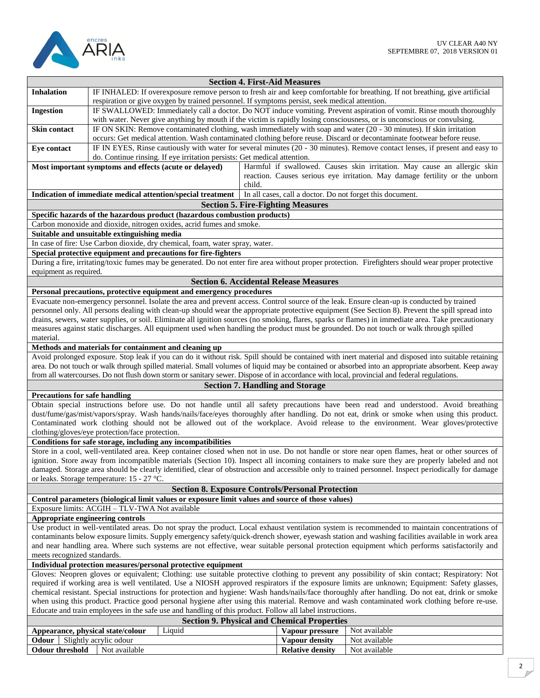

|                                                                                                                                                                                                                                                                                                     |                                                                                                                                                      |        | <b>Section 4. First-Aid Measures</b>          |                                                                                                                                                       |  |  |
|-----------------------------------------------------------------------------------------------------------------------------------------------------------------------------------------------------------------------------------------------------------------------------------------------------|------------------------------------------------------------------------------------------------------------------------------------------------------|--------|-----------------------------------------------|-------------------------------------------------------------------------------------------------------------------------------------------------------|--|--|
| <b>Inhalation</b>                                                                                                                                                                                                                                                                                   | IF INHALED: If overexposure remove person to fresh air and keep comfortable for breathing. If not breathing, give artificial                         |        |                                               |                                                                                                                                                       |  |  |
|                                                                                                                                                                                                                                                                                                     | respiration or give oxygen by trained personnel. If symptoms persist, seek medical attention.                                                        |        |                                               |                                                                                                                                                       |  |  |
| <b>Ingestion</b>                                                                                                                                                                                                                                                                                    |                                                                                                                                                      |        |                                               | IF SWALLOWED: Immediately call a doctor. Do NOT induce vomiting. Prevent aspiration of vomit. Rinse mouth thoroughly                                  |  |  |
|                                                                                                                                                                                                                                                                                                     | with water. Never give anything by mouth if the victim is rapidly losing consciousness, or is unconscious or convulsing.                             |        |                                               |                                                                                                                                                       |  |  |
| Skin contact                                                                                                                                                                                                                                                                                        | IF ON SKIN: Remove contaminated clothing, wash immediately with soap and water (20 - 30 minutes). If skin irritation                                 |        |                                               |                                                                                                                                                       |  |  |
|                                                                                                                                                                                                                                                                                                     | occurs: Get medical attention. Wash contaminated clothing before reuse. Discard or decontaminate footwear before reuse.                              |        |                                               |                                                                                                                                                       |  |  |
| Eye contact                                                                                                                                                                                                                                                                                         |                                                                                                                                                      |        |                                               | IF IN EYES, Rinse cautiously with water for several minutes (20 - 30 minutes). Remove contact lenses, if present and easy to                          |  |  |
|                                                                                                                                                                                                                                                                                                     | do. Continue rinsing. If eye irritation persists: Get medical attention.                                                                             |        |                                               |                                                                                                                                                       |  |  |
|                                                                                                                                                                                                                                                                                                     | Most important symptoms and effects (acute or delayed)                                                                                               |        |                                               | Harmful if swallowed. Causes skin irritation. May cause an allergic skin                                                                              |  |  |
|                                                                                                                                                                                                                                                                                                     |                                                                                                                                                      |        |                                               | reaction. Causes serious eye irritation. May damage fertility or the unborn                                                                           |  |  |
|                                                                                                                                                                                                                                                                                                     |                                                                                                                                                      | child. |                                               |                                                                                                                                                       |  |  |
|                                                                                                                                                                                                                                                                                                     | Indication of immediate medical attention/special treatment                                                                                          |        |                                               | In all cases, call a doctor. Do not forget this document.                                                                                             |  |  |
|                                                                                                                                                                                                                                                                                                     |                                                                                                                                                      |        | <b>Section 5. Fire-Fighting Measures</b>      |                                                                                                                                                       |  |  |
|                                                                                                                                                                                                                                                                                                     | Specific hazards of the hazardous product (hazardous combustion products)                                                                            |        |                                               |                                                                                                                                                       |  |  |
|                                                                                                                                                                                                                                                                                                     | Carbon monoxide and dioxide, nitrogen oxides, acrid fumes and smoke.                                                                                 |        |                                               |                                                                                                                                                       |  |  |
|                                                                                                                                                                                                                                                                                                     | Suitable and unsuitable extinguishing media                                                                                                          |        |                                               |                                                                                                                                                       |  |  |
|                                                                                                                                                                                                                                                                                                     | In case of fire: Use Carbon dioxide, dry chemical, foam, water spray, water.                                                                         |        |                                               |                                                                                                                                                       |  |  |
|                                                                                                                                                                                                                                                                                                     | Special protective equipment and precautions for fire-fighters                                                                                       |        |                                               |                                                                                                                                                       |  |  |
|                                                                                                                                                                                                                                                                                                     | During a fire, irritating/toxic fumes may be generated. Do not enter fire area without proper protection. Firefighters should wear proper protective |        |                                               |                                                                                                                                                       |  |  |
| equipment as required.                                                                                                                                                                                                                                                                              |                                                                                                                                                      |        |                                               |                                                                                                                                                       |  |  |
|                                                                                                                                                                                                                                                                                                     |                                                                                                                                                      |        | <b>Section 6. Accidental Release Measures</b> |                                                                                                                                                       |  |  |
|                                                                                                                                                                                                                                                                                                     | Personal precautions, protective equipment and emergency procedures                                                                                  |        |                                               |                                                                                                                                                       |  |  |
|                                                                                                                                                                                                                                                                                                     | Evacuate non-emergency personnel. Isolate the area and prevent access. Control source of the leak. Ensure clean-up is conducted by trained           |        |                                               |                                                                                                                                                       |  |  |
|                                                                                                                                                                                                                                                                                                     | personnel only. All persons dealing with clean-up should wear the appropriate protective equipment (See Section 8). Prevent the spill spread into    |        |                                               |                                                                                                                                                       |  |  |
|                                                                                                                                                                                                                                                                                                     | drains, sewers, water supplies, or soil. Eliminate all ignition sources (no smoking, flares, sparks or flames) in immediate area. Take precautionary |        |                                               |                                                                                                                                                       |  |  |
|                                                                                                                                                                                                                                                                                                     | measures against static discharges. All equipment used when handling the product must be grounded. Do not touch or walk through spilled              |        |                                               |                                                                                                                                                       |  |  |
| material.                                                                                                                                                                                                                                                                                           |                                                                                                                                                      |        |                                               |                                                                                                                                                       |  |  |
|                                                                                                                                                                                                                                                                                                     | Methods and materials for containment and cleaning up                                                                                                |        |                                               |                                                                                                                                                       |  |  |
|                                                                                                                                                                                                                                                                                                     | area. Do not touch or walk through spilled material. Small volumes of liquid may be contained or absorbed into an appropriate absorbent. Keep away   |        |                                               | Avoid prolonged exposure. Stop leak if you can do it without risk. Spill should be contained with inert material and disposed into suitable retaining |  |  |
|                                                                                                                                                                                                                                                                                                     | from all watercourses. Do not flush down storm or sanitary sewer. Dispose of in accordance with local, provincial and federal regulations.           |        |                                               |                                                                                                                                                       |  |  |
|                                                                                                                                                                                                                                                                                                     |                                                                                                                                                      |        |                                               |                                                                                                                                                       |  |  |
| <b>Precautions for safe handling</b>                                                                                                                                                                                                                                                                |                                                                                                                                                      |        | <b>Section 7. Handling and Storage</b>        |                                                                                                                                                       |  |  |
|                                                                                                                                                                                                                                                                                                     | Obtain special instructions before use. Do not handle until all safety precautions have been read and understood. Avoid breathing                    |        |                                               |                                                                                                                                                       |  |  |
|                                                                                                                                                                                                                                                                                                     |                                                                                                                                                      |        |                                               | dust/fume/gas/mist/vapors/spray. Wash hands/nails/face/eyes thoroughly after handling. Do not eat, drink or smoke when using this product.            |  |  |
|                                                                                                                                                                                                                                                                                                     |                                                                                                                                                      |        |                                               | Contaminated work clothing should not be allowed out of the workplace. Avoid release to the environment. Wear gloves/protective                       |  |  |
|                                                                                                                                                                                                                                                                                                     | clothing/gloves/eye protection/face protection.                                                                                                      |        |                                               |                                                                                                                                                       |  |  |
|                                                                                                                                                                                                                                                                                                     | Conditions for safe storage, including any incompatibilities                                                                                         |        |                                               |                                                                                                                                                       |  |  |
|                                                                                                                                                                                                                                                                                                     |                                                                                                                                                      |        |                                               | Store in a cool, well-ventilated area. Keep container closed when not in use. Do not handle or store near open flames, heat or other sources of       |  |  |
|                                                                                                                                                                                                                                                                                                     |                                                                                                                                                      |        |                                               |                                                                                                                                                       |  |  |
| ignition. Store away from incompatible materials (Section 10). Inspect all incoming containers to make sure they are properly labeled and not<br>damaged. Storage area should be clearly identified, clear of obstruction and accessible only to trained personnel. Inspect periodically for damage |                                                                                                                                                      |        |                                               |                                                                                                                                                       |  |  |
| or leaks. Storage temperature: 15 - 27 °C.                                                                                                                                                                                                                                                          |                                                                                                                                                      |        |                                               |                                                                                                                                                       |  |  |
| <b>Section 8. Exposure Controls/Personal Protection</b>                                                                                                                                                                                                                                             |                                                                                                                                                      |        |                                               |                                                                                                                                                       |  |  |
| Control parameters (biological limit values or exposure limit values and source of those values)                                                                                                                                                                                                    |                                                                                                                                                      |        |                                               |                                                                                                                                                       |  |  |
| Exposure limits: ACGIH - TLV-TWA Not available                                                                                                                                                                                                                                                      |                                                                                                                                                      |        |                                               |                                                                                                                                                       |  |  |
|                                                                                                                                                                                                                                                                                                     | Appropriate engineering controls                                                                                                                     |        |                                               |                                                                                                                                                       |  |  |
|                                                                                                                                                                                                                                                                                                     | Use product in well-ventilated areas. Do not spray the product. Local exhaust ventilation system is recommended to maintain concentrations of        |        |                                               |                                                                                                                                                       |  |  |
| contaminants below exposure limits. Supply emergency safety/quick-drench shower, eyewash station and washing facilities available in work area                                                                                                                                                      |                                                                                                                                                      |        |                                               |                                                                                                                                                       |  |  |
| and near handling area. Where such systems are not effective, wear suitable personal protection equipment which performs satisfactorily and                                                                                                                                                         |                                                                                                                                                      |        |                                               |                                                                                                                                                       |  |  |
| meets recognized standards.                                                                                                                                                                                                                                                                         |                                                                                                                                                      |        |                                               |                                                                                                                                                       |  |  |
| Individual protection measures/personal protective equipment                                                                                                                                                                                                                                        |                                                                                                                                                      |        |                                               |                                                                                                                                                       |  |  |
| Gloves: Neopren gloves or equivalent; Clothing: use suitable protective clothing to prevent any possibility of skin contact; Respiratory: Not                                                                                                                                                       |                                                                                                                                                      |        |                                               |                                                                                                                                                       |  |  |
| required if working area is well ventilated. Use a NIOSH approved respirators if the exposure limits are unknown; Equipment: Safety glasses,                                                                                                                                                        |                                                                                                                                                      |        |                                               |                                                                                                                                                       |  |  |
| chemical resistant. Special instructions for protection and hygiene: Wash hands/nails/face thoroughly after handling. Do not eat, drink or smoke                                                                                                                                                    |                                                                                                                                                      |        |                                               |                                                                                                                                                       |  |  |
|                                                                                                                                                                                                                                                                                                     | when using this product. Practice good personal hygiene after using this material. Remove and wash contaminated work clothing before re-use.         |        |                                               |                                                                                                                                                       |  |  |
| Educate and train employees in the safe use and handling of this product. Follow all label instructions.                                                                                                                                                                                            |                                                                                                                                                      |        |                                               |                                                                                                                                                       |  |  |
| <b>Section 9. Physical and Chemical Properties</b>                                                                                                                                                                                                                                                  |                                                                                                                                                      |        |                                               |                                                                                                                                                       |  |  |
|                                                                                                                                                                                                                                                                                                     | Liquid<br>Appearance, physical state/colour                                                                                                          |        | Vapour pressure                               | Not available                                                                                                                                         |  |  |
| <b>Odour</b> Slightly acrylic odour                                                                                                                                                                                                                                                                 |                                                                                                                                                      |        | <b>Vapour density</b>                         | Not available                                                                                                                                         |  |  |
| <b>Odour threshold</b>                                                                                                                                                                                                                                                                              | Not available                                                                                                                                        |        | <b>Relative density</b>                       | Not available                                                                                                                                         |  |  |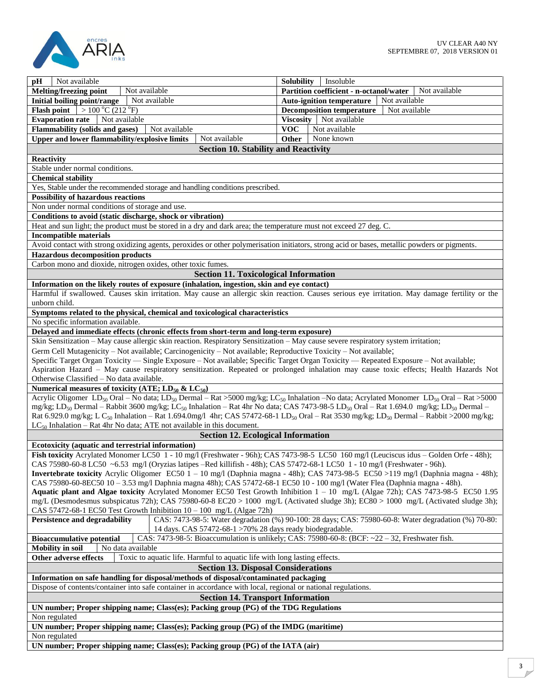

| Not available<br>pН                                                                                                                                                                       |                                                                                              | Insoluble                                                                                            |  |
|-------------------------------------------------------------------------------------------------------------------------------------------------------------------------------------------|----------------------------------------------------------------------------------------------|------------------------------------------------------------------------------------------------------|--|
| Melting/freezing point<br>Not available                                                                                                                                                   | <b>Solubility</b><br>Not available                                                           |                                                                                                      |  |
| Not available<br>Initial boiling point/range                                                                                                                                              | Partition coefficient - n-octanol/water<br><b>Auto-ignition temperature</b><br>Not available |                                                                                                      |  |
|                                                                                                                                                                                           |                                                                                              | <b>Decomposition temperature</b><br>Not available                                                    |  |
| <b>Flash point</b> $  > 100 °C (212 °F)$<br>Not available                                                                                                                                 |                                                                                              |                                                                                                      |  |
| <b>Evaporation rate</b>                                                                                                                                                                   |                                                                                              | Viscosity   Not available                                                                            |  |
| <b>Flammability (solids and gases)</b><br>Not available                                                                                                                                   | <b>VOC</b>                                                                                   | Not available                                                                                        |  |
| Upper and lower flammability/explosive limits<br>Not available                                                                                                                            | <b>Other</b>                                                                                 | None known                                                                                           |  |
| <b>Section 10. Stability and Reactivity</b>                                                                                                                                               |                                                                                              |                                                                                                      |  |
| Reactivity                                                                                                                                                                                |                                                                                              |                                                                                                      |  |
| Stable under normal conditions.                                                                                                                                                           |                                                                                              |                                                                                                      |  |
| <b>Chemical stability</b>                                                                                                                                                                 |                                                                                              |                                                                                                      |  |
| Yes, Stable under the recommended storage and handling conditions prescribed.                                                                                                             |                                                                                              |                                                                                                      |  |
| <b>Possibility of hazardous reactions</b>                                                                                                                                                 |                                                                                              |                                                                                                      |  |
| Non under normal conditions of storage and use.                                                                                                                                           |                                                                                              |                                                                                                      |  |
| Conditions to avoid (static discharge, shock or vibration)                                                                                                                                |                                                                                              |                                                                                                      |  |
| Heat and sun light; the product must be stored in a dry and dark area; the temperature must not exceed 27 deg. C.                                                                         |                                                                                              |                                                                                                      |  |
| <b>Incompatible materials</b>                                                                                                                                                             |                                                                                              |                                                                                                      |  |
| Avoid contact with strong oxidizing agents, peroxides or other polymerisation initiators, strong acid or bases, metallic powders or pigments.                                             |                                                                                              |                                                                                                      |  |
| <b>Hazardous decomposition products</b>                                                                                                                                                   |                                                                                              |                                                                                                      |  |
| Carbon mono and dioxide, nitrogen oxides, other toxic fumes.                                                                                                                              |                                                                                              |                                                                                                      |  |
| <b>Section 11. Toxicological Information</b>                                                                                                                                              |                                                                                              |                                                                                                      |  |
| Information on the likely routes of exposure (inhalation, ingestion, skin and eye contact)                                                                                                |                                                                                              |                                                                                                      |  |
|                                                                                                                                                                                           |                                                                                              |                                                                                                      |  |
| Harmful if swallowed. Causes skin irritation. May cause an allergic skin reaction. Causes serious eye irritation. May damage fertility or the                                             |                                                                                              |                                                                                                      |  |
| unborn child.                                                                                                                                                                             |                                                                                              |                                                                                                      |  |
| Symptoms related to the physical, chemical and toxicological characteristics                                                                                                              |                                                                                              |                                                                                                      |  |
| No specific information available.                                                                                                                                                        |                                                                                              |                                                                                                      |  |
| Delayed and immediate effects (chronic effects from short-term and long-term exposure)                                                                                                    |                                                                                              |                                                                                                      |  |
| Skin Sensitization - May cause allergic skin reaction. Respiratory Sensitization - May cause severe respiratory system irritation;                                                        |                                                                                              |                                                                                                      |  |
| Germ Cell Mutagenicity – Not available; Carcinogenicity – Not available; Reproductive Toxicity – Not available;                                                                           |                                                                                              |                                                                                                      |  |
| Specific Target Organ Toxicity — Single Exposure - Not available; Specific Target Organ Toxicity — Repeated Exposure - Not available;                                                     |                                                                                              |                                                                                                      |  |
| Aspiration Hazard - May cause respiratory sensitization. Repeated or prolonged inhalation may cause toxic effects; Health Hazards Not                                                     |                                                                                              |                                                                                                      |  |
| Otherwise Classified - No data available.                                                                                                                                                 |                                                                                              |                                                                                                      |  |
| Numerical measures of toxicity (ATE; $LD_{50}$ & $LC_{50}$ )                                                                                                                              |                                                                                              |                                                                                                      |  |
| Acrylic Oligomer LD <sub>50</sub> Oral – No data; LD <sub>50</sub> Dermal – Rat > 5000 mg/kg; LC <sub>50</sub> Inhalation – No data; Acrylated Monomer LD <sub>50</sub> Oral – Rat > 5000 |                                                                                              |                                                                                                      |  |
| mg/kg; LD <sub>50</sub> Dermal – Rabbit 3600 mg/kg; LC <sub>50</sub> Inhalation – Rat 4hr No data; CAS 7473-98-5 LD <sub>50</sub> Oral – Rat 1.694.0 mg/kg; LD <sub>50</sub> Dermal –     |                                                                                              |                                                                                                      |  |
| Rat 6.929.0 mg/kg; L C <sub>50</sub> Inhalation – Rat 1.694.0mg/l 4hr; CAS 57472-68-1 LD <sub>50</sub> Oral – Rat 3530 mg/kg; LD <sub>50</sub> Dermal – Rabbit >2000 mg/kg;               |                                                                                              |                                                                                                      |  |
| $LC_{50}$ Inhalation – Rat 4hr No data; ATE not available in this document.                                                                                                               |                                                                                              |                                                                                                      |  |
| <b>Section 12. Ecological Information</b>                                                                                                                                                 |                                                                                              |                                                                                                      |  |
| Ecotoxicity (aquatic and terrestrial information)                                                                                                                                         |                                                                                              |                                                                                                      |  |
| Fish toxicity Acrylated Monomer LC50 1 - 10 mg/l (Freshwater - 96h); CAS 7473-98-5 LC50 160 mg/l (Leuciscus idus - Golden Orfe - 48h);                                                    |                                                                                              |                                                                                                      |  |
| CAS 75980-60-8 LC50 ~6.53 mg/l (Oryzias latipes -Red killifish - 48h); CAS 57472-68-1 LC50 1 - 10 mg/l (Freshwater - 96h).                                                                |                                                                                              |                                                                                                      |  |
| Invertebrate toxicity Acrylic Oligomer EC50 1 - 10 mg/l (Daphnia magna - 48h); CAS 7473-98-5 EC50 > 119 mg/l (Daphnia magna - 48h);                                                       |                                                                                              |                                                                                                      |  |
| CAS 75980-60-8EC50 10 - 3.53 mg/l Daphnia magna 48h); CAS 57472-68-1 EC50 10 - 100 mg/l (Water Flea (Daphnia magna - 48h).                                                                |                                                                                              |                                                                                                      |  |
| Aquatic plant and Algae toxicity Acrylated Monomer EC50 Test Growth Inhibition 1 - 10 mg/L (Algae 72h); CAS 7473-98-5 EC50 1.95                                                           |                                                                                              |                                                                                                      |  |
| mg/L (Desmodesmus subspicatus 72h); CAS 75980-60-8 EC20 > 1000 mg/L (Activated sludge 3h); EC80 > 1000 mg/L (Activated sludge 3h);                                                        |                                                                                              |                                                                                                      |  |
| CAS 57472-68-1 EC50 Test Growth Inhibition $10 - 100$ mg/L (Algae 72h)                                                                                                                    |                                                                                              |                                                                                                      |  |
| Persistence and degradability                                                                                                                                                             |                                                                                              | CAS: 7473-98-5: Water degradation (%) 90-100: 28 days; CAS: 75980-60-8: Water degradation (%) 70-80: |  |
| 14 days. CAS 57472-68-1 > 70% 28 days ready biodegradable.                                                                                                                                |                                                                                              |                                                                                                      |  |
| <b>Bioaccumulative potential</b>                                                                                                                                                          |                                                                                              | CAS: 7473-98-5: Bioaccumulation is unlikely; CAS: 75980-60-8: (BCF: ~22 - 32, Freshwater fish.       |  |
| <b>Mobility in soil</b><br>No data available                                                                                                                                              |                                                                                              |                                                                                                      |  |
|                                                                                                                                                                                           |                                                                                              |                                                                                                      |  |
| Other adverse effects<br>Toxic to aquatic life. Harmful to aquatic life with long lasting effects.                                                                                        |                                                                                              |                                                                                                      |  |
| <b>Section 13. Disposal Considerations</b>                                                                                                                                                |                                                                                              |                                                                                                      |  |
| Information on safe handling for disposal/methods of disposal/contaminated packaging                                                                                                      |                                                                                              |                                                                                                      |  |
| Dispose of contents/container into safe container in accordance with local, regional or national regulations.                                                                             |                                                                                              |                                                                                                      |  |
| <b>Section 14. Transport Information</b>                                                                                                                                                  |                                                                                              |                                                                                                      |  |
| UN number; Proper shipping name; Class(es); Packing group (PG) of the TDG Regulations                                                                                                     |                                                                                              |                                                                                                      |  |
| Non regulated                                                                                                                                                                             |                                                                                              |                                                                                                      |  |
| UN number; Proper shipping name; Class(es); Packing group (PG) of the IMDG (maritime)                                                                                                     |                                                                                              |                                                                                                      |  |
| Non regulated                                                                                                                                                                             |                                                                                              |                                                                                                      |  |
| UN number; Proper shipping name; Class(es); Packing group (PG) of the IATA (air)                                                                                                          |                                                                                              |                                                                                                      |  |